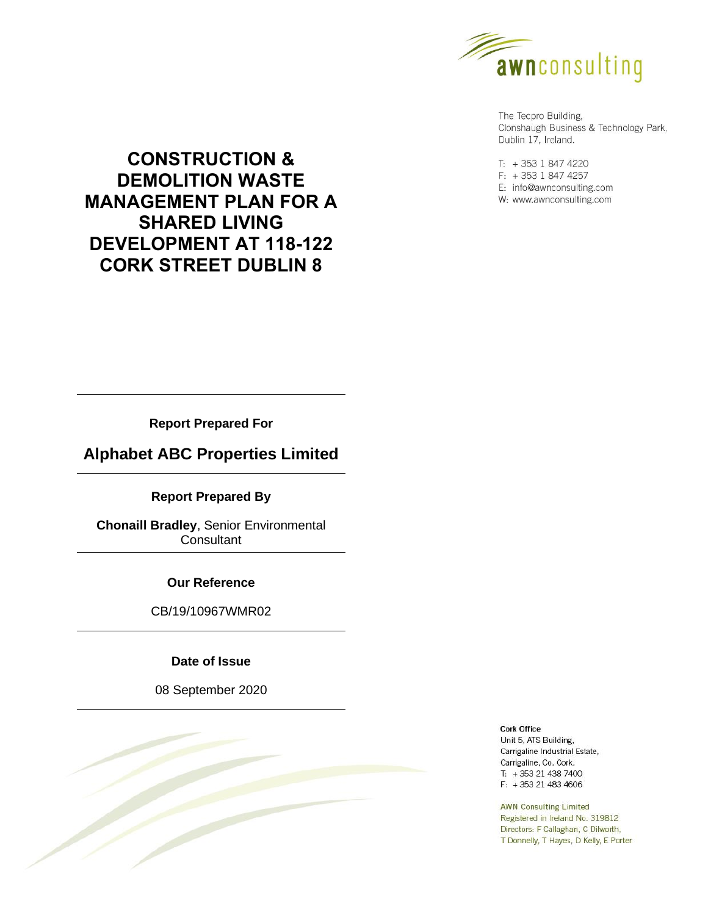

The Tecpro Building, Clonshaugh Business & Technology Park, Dublin 17, Ireland.

T: +353 1 847 4220  $F: +35318474257$ E: info@awnconsulting.com W: www.awnconsulting.com

# **CONSTRUCTION & DEMOLITION WASTE MANAGEMENT PLAN FOR A SHARED LIVING DEVELOPMENT AT 118-122 CORK STREET DUBLIN 8**

**Report Prepared For**

# **Alphabet ABC Properties Limited**

# **Report Prepared By**

**Chonaill Bradley**, Senior Environmental **Consultant** 

# **Our Reference**

CB/19/10967WMR02

# **Date of Issue**

08 September 2020



**Cork Office** Unit 5, ATS Building, Carrigaline Industrial Estate, Carrigaline, Co. Cork.  $T: +353214387400$  $F: +353214834606$ 

**AWN Consulting Limited** Registered in Ireland No. 319812 Directors: F Callaghan, C Dilworth, T Donnelly, T Hayes, D Kelly, E Porter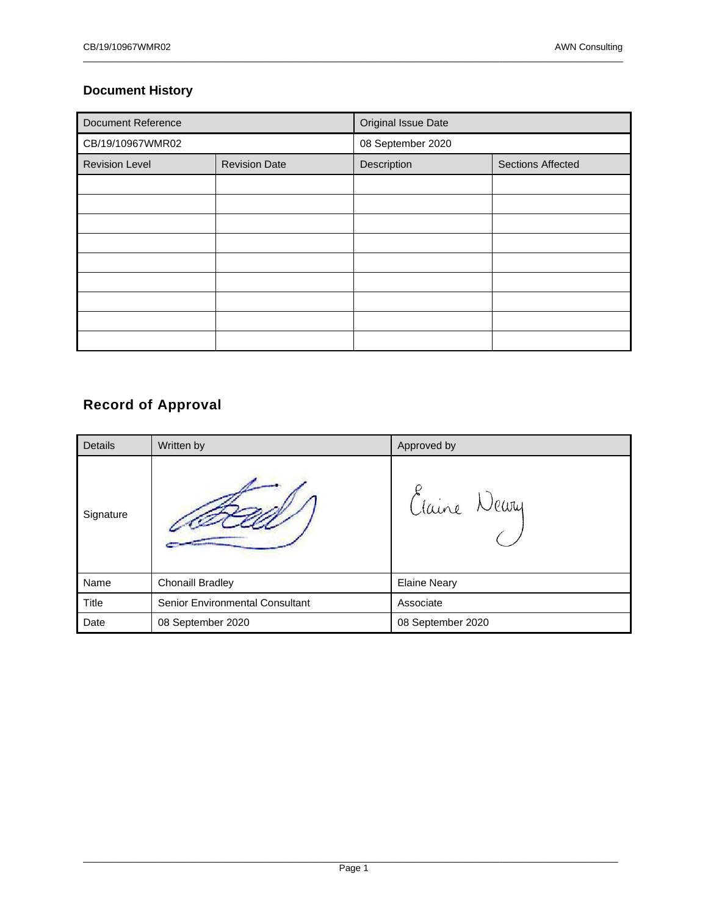# **Document History**

| <b>Document Reference</b> |                      | Original Issue Date |                          |  |  |
|---------------------------|----------------------|---------------------|--------------------------|--|--|
| CB/19/10967WMR02          |                      | 08 September 2020   |                          |  |  |
| <b>Revision Level</b>     | <b>Revision Date</b> | Description         | <b>Sections Affected</b> |  |  |
|                           |                      |                     |                          |  |  |
|                           |                      |                     |                          |  |  |
|                           |                      |                     |                          |  |  |
|                           |                      |                     |                          |  |  |
|                           |                      |                     |                          |  |  |
|                           |                      |                     |                          |  |  |
|                           |                      |                     |                          |  |  |
|                           |                      |                     |                          |  |  |
|                           |                      |                     |                          |  |  |

\_\_\_\_\_\_\_\_\_\_\_\_\_\_\_\_\_\_\_\_\_\_\_\_\_\_\_\_\_\_\_\_\_\_\_\_\_\_\_\_\_\_\_\_\_\_\_\_\_\_\_\_\_\_\_\_\_\_\_\_\_\_\_\_\_\_\_\_\_\_\_\_\_\_\_\_\_\_\_\_\_\_\_\_\_\_\_\_\_\_\_\_\_\_\_\_\_\_\_\_\_\_\_\_\_

# **Record of Approval**

| <b>Details</b> | Written by                             | Approved by         |  |  |
|----------------|----------------------------------------|---------------------|--|--|
| Signature      |                                        | Claine Newy         |  |  |
| Name           | <b>Chonaill Bradley</b>                | <b>Elaine Neary</b> |  |  |
| Title          | <b>Senior Environmental Consultant</b> | Associate           |  |  |
| Date           | 08 September 2020                      | 08 September 2020   |  |  |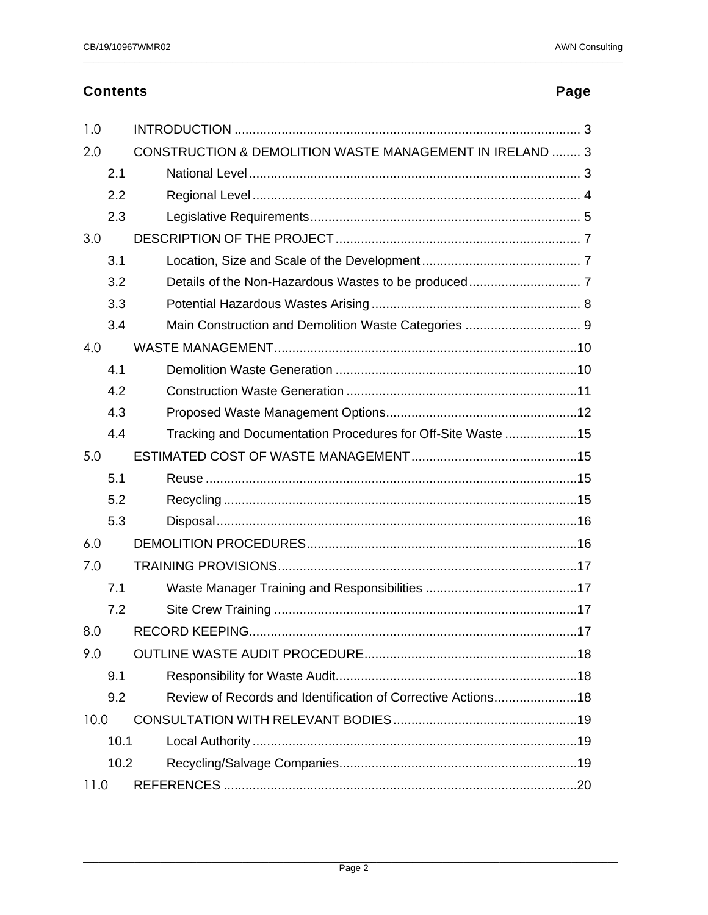# **Contents**

# Page

| 1.0  |      |                                                              |
|------|------|--------------------------------------------------------------|
| 2.0  |      | CONSTRUCTION & DEMOLITION WASTE MANAGEMENT IN IRELAND  3     |
|      | 2.1  |                                                              |
|      | 2.2  |                                                              |
|      | 2.3  |                                                              |
| 3.0  |      |                                                              |
|      | 3.1  |                                                              |
|      | 3.2  |                                                              |
|      | 3.3  |                                                              |
|      | 3.4  |                                                              |
| 4.0  |      |                                                              |
|      | 4.1  |                                                              |
|      | 4.2  |                                                              |
|      | 4.3  |                                                              |
|      | 4.4  | Tracking and Documentation Procedures for Off-Site Waste 15  |
| 5.0  |      |                                                              |
|      | 5.1  |                                                              |
|      | 5.2  |                                                              |
|      | 5.3  |                                                              |
| 6.0  |      |                                                              |
| 7.0  |      |                                                              |
|      | 7.1  |                                                              |
|      | 7.2  |                                                              |
| 8.0  |      |                                                              |
| 9.0  |      |                                                              |
|      | 9.1  |                                                              |
|      | 9.2  | Review of Records and Identification of Corrective Actions18 |
| 10.0 |      |                                                              |
|      | 10.1 |                                                              |
|      | 10.2 |                                                              |
| 11.0 |      |                                                              |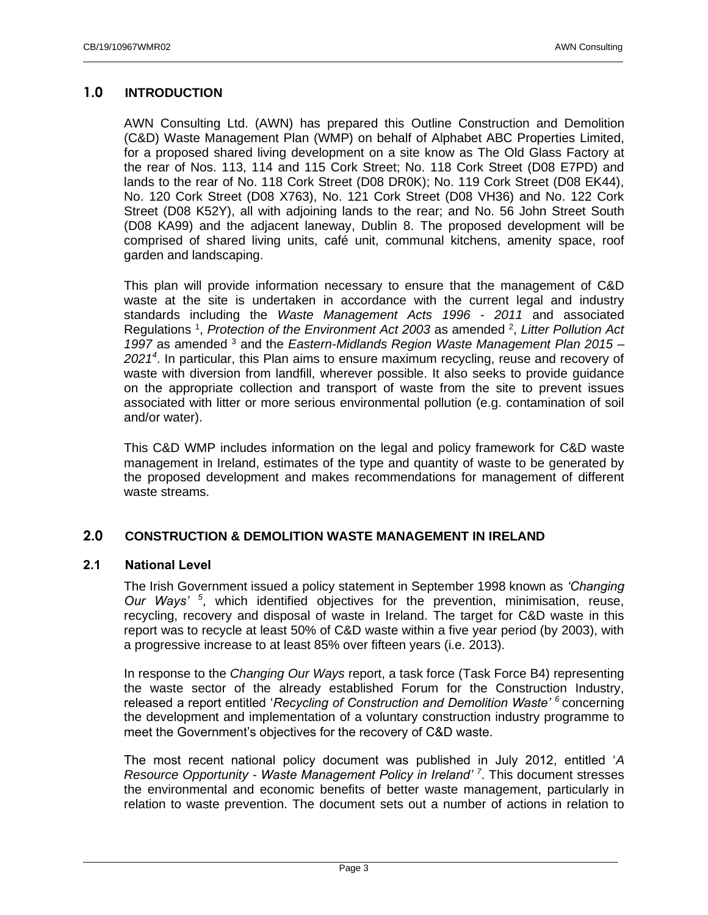# <span id="page-3-0"></span>**1.0 INTRODUCTION**

AWN Consulting Ltd. (AWN) has prepared this Outline Construction and Demolition (C&D) Waste Management Plan (WMP) on behalf of Alphabet ABC Properties Limited, for a proposed shared living development on a site know as The Old Glass Factory at the rear of Nos. 113, 114 and 115 Cork Street; No. 118 Cork Street (D08 E7PD) and lands to the rear of No. 118 Cork Street (D08 DR0K); No. 119 Cork Street (D08 EK44), No. 120 Cork Street (D08 X763), No. 121 Cork Street (D08 VH36) and No. 122 Cork Street (D08 K52Y), all with adjoining lands to the rear; and No. 56 John Street South (D08 KA99) and the adjacent laneway, Dublin 8. The proposed development will be comprised of shared living units, café unit, communal kitchens, amenity space, roof garden and landscaping.

\_\_\_\_\_\_\_\_\_\_\_\_\_\_\_\_\_\_\_\_\_\_\_\_\_\_\_\_\_\_\_\_\_\_\_\_\_\_\_\_\_\_\_\_\_\_\_\_\_\_\_\_\_\_\_\_\_\_\_\_\_\_\_\_\_\_\_\_\_\_\_\_\_\_\_\_\_\_\_\_\_\_\_\_\_\_\_\_\_\_\_\_\_\_\_\_\_\_\_\_\_\_\_\_\_

This plan will provide information necessary to ensure that the management of C&D waste at the site is undertaken in accordance with the current legal and industry standards including the *Waste Management Acts 1996 - 2011* and associated Regulations<sup>1</sup>, *Protection of the Environment Act 2003* as amended <sup>2</sup>, Litter Pollution Act *1997* as amended <sup>3</sup> and the *Eastern-Midlands Region Waste Management Plan 2015 – 2021<sup>4</sup>* . In particular, this Plan aims to ensure maximum recycling, reuse and recovery of waste with diversion from landfill, wherever possible. It also seeks to provide guidance on the appropriate collection and transport of waste from the site to prevent issues associated with litter or more serious environmental pollution (e.g. contamination of soil and/or water).

This C&D WMP includes information on the legal and policy framework for C&D waste management in Ireland, estimates of the type and quantity of waste to be generated by the proposed development and makes recommendations for management of different waste streams.

# <span id="page-3-1"></span>**2.0 CONSTRUCTION & DEMOLITION WASTE MANAGEMENT IN IRELAND**

# <span id="page-3-2"></span>**2.1 National Level**

The Irish Government issued a policy statement in September 1998 known as *'Changing Our Ways' <sup>5</sup>* , which identified objectives for the prevention, minimisation, reuse, recycling, recovery and disposal of waste in Ireland. The target for C&D waste in this report was to recycle at least 50% of C&D waste within a five year period (by 2003), with a progressive increase to at least 85% over fifteen years (i.e. 2013).

In response to the *Changing Our Ways* report, a task force (Task Force B4) representing the waste sector of the already established Forum for the Construction Industry, released a report entitled '*Recycling of Construction and Demolition Waste' <sup>6</sup>* concerning the development and implementation of a voluntary construction industry programme to meet the Government's objectives for the recovery of C&D waste.

The most recent national policy document was published in July 2012, entitled '*A Resource Opportunity - Waste Management Policy in Ireland' <sup>7</sup>* . This document stresses the environmental and economic benefits of better waste management, particularly in relation to waste prevention. The document sets out a number of actions in relation to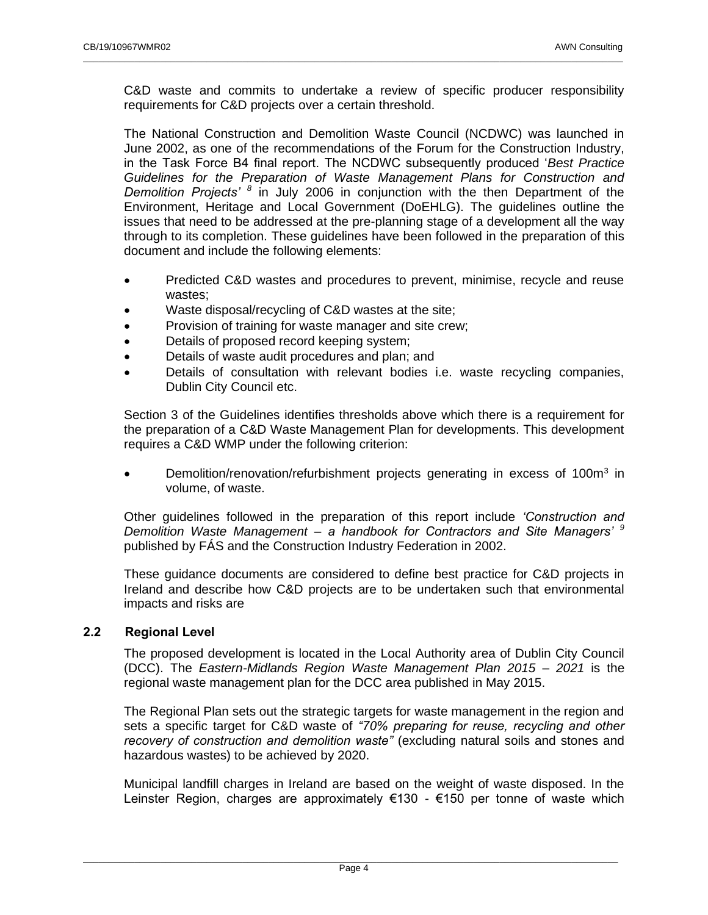C&D waste and commits to undertake a review of specific producer responsibility requirements for C&D projects over a certain threshold.

\_\_\_\_\_\_\_\_\_\_\_\_\_\_\_\_\_\_\_\_\_\_\_\_\_\_\_\_\_\_\_\_\_\_\_\_\_\_\_\_\_\_\_\_\_\_\_\_\_\_\_\_\_\_\_\_\_\_\_\_\_\_\_\_\_\_\_\_\_\_\_\_\_\_\_\_\_\_\_\_\_\_\_\_\_\_\_\_\_\_\_\_\_\_\_\_\_\_\_\_\_\_\_\_\_

The National Construction and Demolition Waste Council (NCDWC) was launched in June 2002, as one of the recommendations of the Forum for the Construction Industry, in the Task Force B4 final report. The NCDWC subsequently produced '*Best Practice Guidelines for the Preparation of Waste Management Plans for Construction and Demolition Projects' <sup>8</sup>* in July 2006 in conjunction with the then Department of the Environment, Heritage and Local Government (DoEHLG). The guidelines outline the issues that need to be addressed at the pre-planning stage of a development all the way through to its completion. These guidelines have been followed in the preparation of this document and include the following elements:

- Predicted C&D wastes and procedures to prevent, minimise, recycle and reuse wastes;
- Waste disposal/recycling of C&D wastes at the site;
- Provision of training for waste manager and site crew;
- Details of proposed record keeping system;
- Details of waste audit procedures and plan; and
- Details of consultation with relevant bodies i.e. waste recycling companies, Dublin City Council etc.

Section 3 of the Guidelines identifies thresholds above which there is a requirement for the preparation of a C&D Waste Management Plan for developments. This development requires a C&D WMP under the following criterion:

• Demolition/renovation/refurbishment projects generating in excess of 100m<sup>3</sup> in volume, of waste.

Other guidelines followed in the preparation of this report include *'Construction and Demolition Waste Management – a handbook for Contractors and Site Managers' <sup>9</sup>* published by FÁS and the Construction Industry Federation in 2002.

These guidance documents are considered to define best practice for C&D projects in Ireland and describe how C&D projects are to be undertaken such that environmental impacts and risks are

## <span id="page-4-0"></span>**2.2 Regional Level**

The proposed development is located in the Local Authority area of Dublin City Council (DCC). The *Eastern-Midlands Region Waste Management Plan 2015 – 2021* is the regional waste management plan for the DCC area published in May 2015.

The Regional Plan sets out the strategic targets for waste management in the region and sets a specific target for C&D waste of *"70% preparing for reuse, recycling and other recovery of construction and demolition waste"* (excluding natural soils and stones and hazardous wastes) to be achieved by 2020.

Municipal landfill charges in Ireland are based on the weight of waste disposed. In the Leinster Region, charges are approximately €130 - €150 per tonne of waste which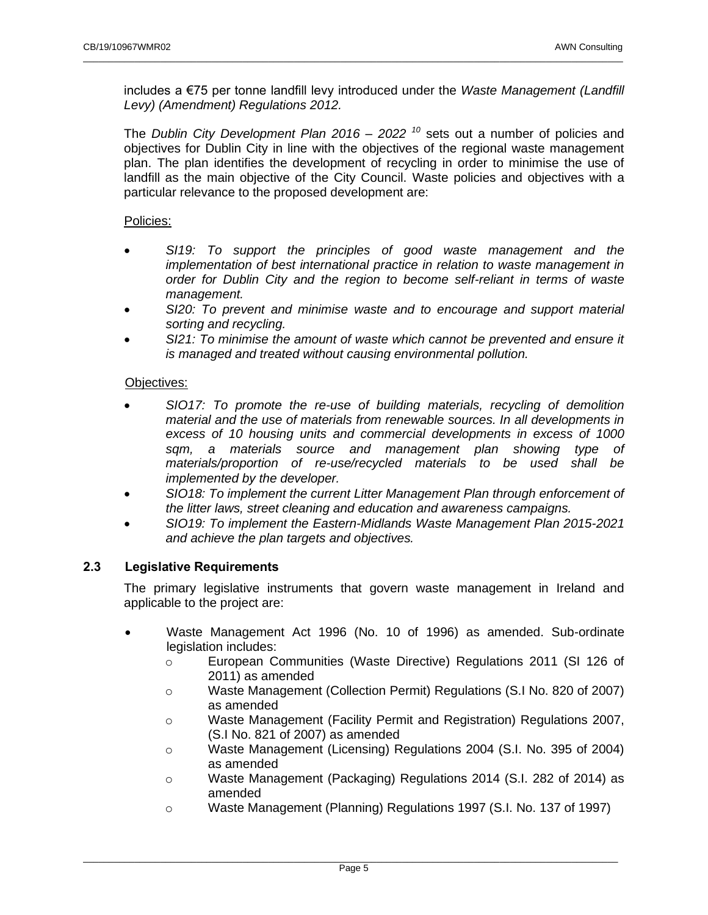includes a €75 per tonne landfill levy introduced under the *Waste Management (Landfill Levy) (Amendment) Regulations 2012.*

\_\_\_\_\_\_\_\_\_\_\_\_\_\_\_\_\_\_\_\_\_\_\_\_\_\_\_\_\_\_\_\_\_\_\_\_\_\_\_\_\_\_\_\_\_\_\_\_\_\_\_\_\_\_\_\_\_\_\_\_\_\_\_\_\_\_\_\_\_\_\_\_\_\_\_\_\_\_\_\_\_\_\_\_\_\_\_\_\_\_\_\_\_\_\_\_\_\_\_\_\_\_\_\_\_

The *Dublin City Development Plan 2016 – 2022 <sup>10</sup>* sets out a number of policies and objectives for Dublin City in line with the objectives of the regional waste management plan. The plan identifies the development of recycling in order to minimise the use of landfill as the main objective of the City Council. Waste policies and objectives with a particular relevance to the proposed development are:

# Policies:

- *SI19: To support the principles of good waste management and the implementation of best international practice in relation to waste management in order for Dublin City and the region to become self-reliant in terms of waste management.*
- *SI20: To prevent and minimise waste and to encourage and support material sorting and recycling.*
- *SI21: To minimise the amount of waste which cannot be prevented and ensure it is managed and treated without causing environmental pollution.*

# Objectives:

- *SIO17: To promote the re-use of building materials, recycling of demolition material and the use of materials from renewable sources. In all developments in excess of 10 housing units and commercial developments in excess of 1000 sqm, a materials source and management plan showing type of materials/proportion of re-use/recycled materials to be used shall be implemented by the developer.*
- *SIO18: To implement the current Litter Management Plan through enforcement of the litter laws, street cleaning and education and awareness campaigns.*
- *SIO19: To implement the Eastern-Midlands Waste Management Plan 2015-2021 and achieve the plan targets and objectives.*

# <span id="page-5-0"></span>**2.3 Legislative Requirements**

The primary legislative instruments that govern waste management in Ireland and applicable to the project are:

- Waste Management Act 1996 (No. 10 of 1996) as amended. Sub-ordinate legislation includes:
	- o European Communities (Waste Directive) Regulations 2011 (SI 126 of 2011) as amended
	- o Waste Management (Collection Permit) Regulations (S.I No. 820 of 2007) as amended
	- o Waste Management (Facility Permit and Registration) Regulations 2007, (S.I No. 821 of 2007) as amended
	- o Waste Management (Licensing) Regulations 2004 (S.I. No. 395 of 2004) as amended
	- o Waste Management (Packaging) Regulations 2014 (S.I. 282 of 2014) as amended
	- o Waste Management (Planning) Regulations 1997 (S.I. No. 137 of 1997)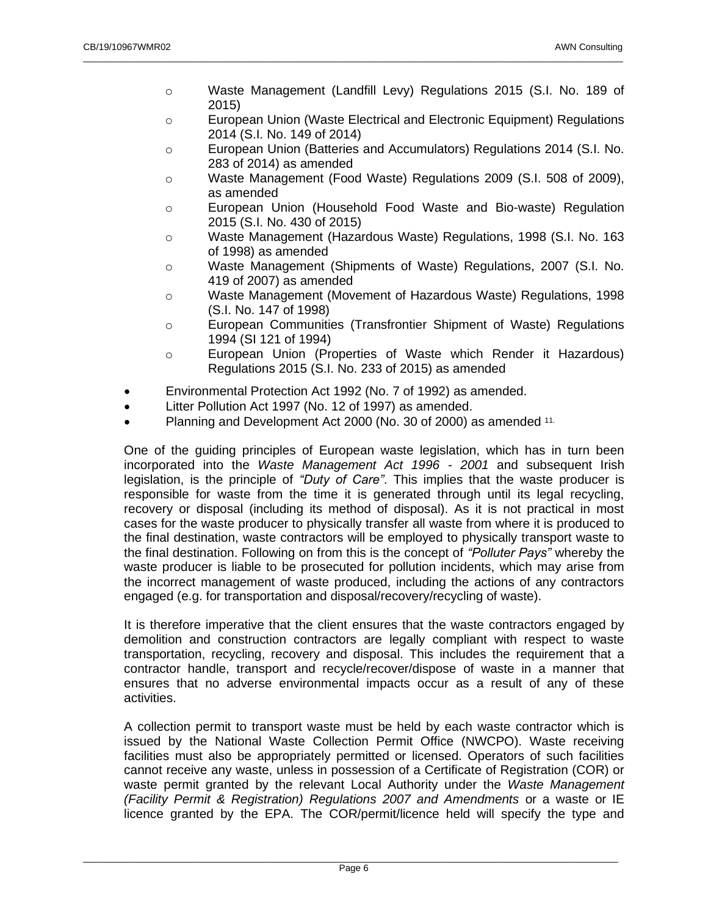o Waste Management (Landfill Levy) Regulations 2015 (S.I. No. 189 of 2015)

\_\_\_\_\_\_\_\_\_\_\_\_\_\_\_\_\_\_\_\_\_\_\_\_\_\_\_\_\_\_\_\_\_\_\_\_\_\_\_\_\_\_\_\_\_\_\_\_\_\_\_\_\_\_\_\_\_\_\_\_\_\_\_\_\_\_\_\_\_\_\_\_\_\_\_\_\_\_\_\_\_\_\_\_\_\_\_\_\_\_\_\_\_\_\_\_\_\_\_\_\_\_\_\_\_

- o European Union (Waste Electrical and Electronic Equipment) Regulations 2014 (S.I. No. 149 of 2014)
- o European Union (Batteries and Accumulators) Regulations 2014 (S.I. No. 283 of 2014) as amended
- o Waste Management (Food Waste) Regulations 2009 (S.I. 508 of 2009), as amended
- o European Union (Household Food Waste and Bio-waste) Regulation 2015 (S.I. No. 430 of 2015)
- o Waste Management (Hazardous Waste) Regulations, 1998 (S.I. No. 163 of 1998) as amended
- o Waste Management (Shipments of Waste) Regulations, 2007 (S.I. No. 419 of 2007) as amended
- o Waste Management (Movement of Hazardous Waste) Regulations, 1998 (S.I. No. 147 of 1998)
- o European Communities (Transfrontier Shipment of Waste) Regulations 1994 (SI 121 of 1994)
- o European Union (Properties of Waste which Render it Hazardous) Regulations 2015 (S.I. No. 233 of 2015) as amended
- Environmental Protection Act 1992 (No. 7 of 1992) as amended.
- Litter Pollution Act 1997 (No. 12 of 1997) as amended.
- Planning and Development Act 2000 (No. 30 of 2000) as amended <sup>11.</sup>

One of the guiding principles of European waste legislation, which has in turn been incorporated into the *Waste Management Act 1996 - 2001* and subsequent Irish legislation, is the principle of *"Duty of Care"*. This implies that the waste producer is responsible for waste from the time it is generated through until its legal recycling, recovery or disposal (including its method of disposal). As it is not practical in most cases for the waste producer to physically transfer all waste from where it is produced to the final destination, waste contractors will be employed to physically transport waste to the final destination. Following on from this is the concept of *"Polluter Pays"* whereby the waste producer is liable to be prosecuted for pollution incidents, which may arise from the incorrect management of waste produced, including the actions of any contractors engaged (e.g. for transportation and disposal/recovery/recycling of waste).

It is therefore imperative that the client ensures that the waste contractors engaged by demolition and construction contractors are legally compliant with respect to waste transportation, recycling, recovery and disposal. This includes the requirement that a contractor handle, transport and recycle/recover/dispose of waste in a manner that ensures that no adverse environmental impacts occur as a result of any of these activities.

A collection permit to transport waste must be held by each waste contractor which is issued by the National Waste Collection Permit Office (NWCPO). Waste receiving facilities must also be appropriately permitted or licensed. Operators of such facilities cannot receive any waste, unless in possession of a Certificate of Registration (COR) or waste permit granted by the relevant Local Authority under the *Waste Management (Facility Permit & Registration) Regulations 2007 and Amendments* or a waste or IE licence granted by the EPA. The COR/permit/licence held will specify the type and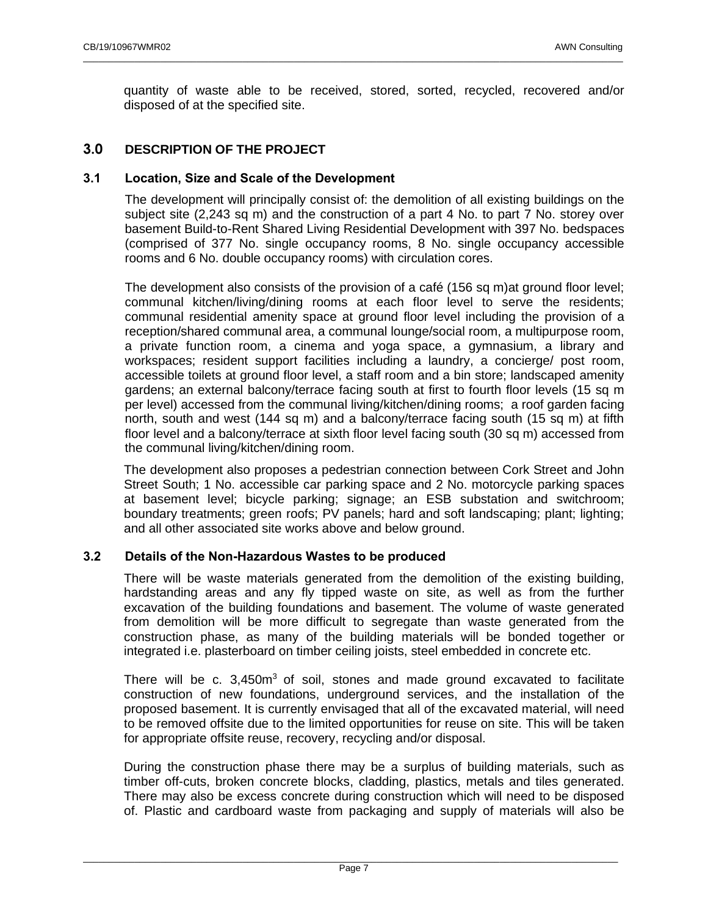quantity of waste able to be received, stored, sorted, recycled, recovered and/or disposed of at the specified site.

\_\_\_\_\_\_\_\_\_\_\_\_\_\_\_\_\_\_\_\_\_\_\_\_\_\_\_\_\_\_\_\_\_\_\_\_\_\_\_\_\_\_\_\_\_\_\_\_\_\_\_\_\_\_\_\_\_\_\_\_\_\_\_\_\_\_\_\_\_\_\_\_\_\_\_\_\_\_\_\_\_\_\_\_\_\_\_\_\_\_\_\_\_\_\_\_\_\_\_\_\_\_\_\_\_

# <span id="page-7-0"></span>**3.0 DESCRIPTION OF THE PROJECT**

# <span id="page-7-1"></span>**3.1 Location, Size and Scale of the Development**

The development will principally consist of: the demolition of all existing buildings on the subject site (2,243 sq m) and the construction of a part 4 No. to part 7 No. storey over basement Build-to-Rent Shared Living Residential Development with 397 No. bedspaces (comprised of 377 No. single occupancy rooms, 8 No. single occupancy accessible rooms and 6 No. double occupancy rooms) with circulation cores.

The development also consists of the provision of a café (156 sq m)at ground floor level; communal kitchen/living/dining rooms at each floor level to serve the residents; communal residential amenity space at ground floor level including the provision of a reception/shared communal area, a communal lounge/social room, a multipurpose room, a private function room, a cinema and yoga space, a gymnasium, a library and workspaces; resident support facilities including a laundry, a concierge/ post room, accessible toilets at ground floor level, a staff room and a bin store; landscaped amenity gardens; an external balcony/terrace facing south at first to fourth floor levels (15 sq m per level) accessed from the communal living/kitchen/dining rooms; a roof garden facing north, south and west (144 sq m) and a balcony/terrace facing south (15 sq m) at fifth floor level and a balcony/terrace at sixth floor level facing south (30 sq m) accessed from the communal living/kitchen/dining room.

The development also proposes a pedestrian connection between Cork Street and John Street South; 1 No. accessible car parking space and 2 No. motorcycle parking spaces at basement level; bicycle parking; signage; an ESB substation and switchroom; boundary treatments; green roofs; PV panels; hard and soft landscaping; plant; lighting; and all other associated site works above and below ground.

# <span id="page-7-2"></span>**3.2 Details of the Non-Hazardous Wastes to be produced**

There will be waste materials generated from the demolition of the existing building, hardstanding areas and any fly tipped waste on site, as well as from the further excavation of the building foundations and basement. The volume of waste generated from demolition will be more difficult to segregate than waste generated from the construction phase, as many of the building materials will be bonded together or integrated i.e. plasterboard on timber ceiling joists, steel embedded in concrete etc.

There will be c. 3,450m<sup>3</sup> of soil, stones and made ground excavated to facilitate construction of new foundations, underground services, and the installation of the proposed basement. It is currently envisaged that all of the excavated material, will need to be removed offsite due to the limited opportunities for reuse on site. This will be taken for appropriate offsite reuse, recovery, recycling and/or disposal.

During the construction phase there may be a surplus of building materials, such as timber off-cuts, broken concrete blocks, cladding, plastics, metals and tiles generated. There may also be excess concrete during construction which will need to be disposed of. Plastic and cardboard waste from packaging and supply of materials will also be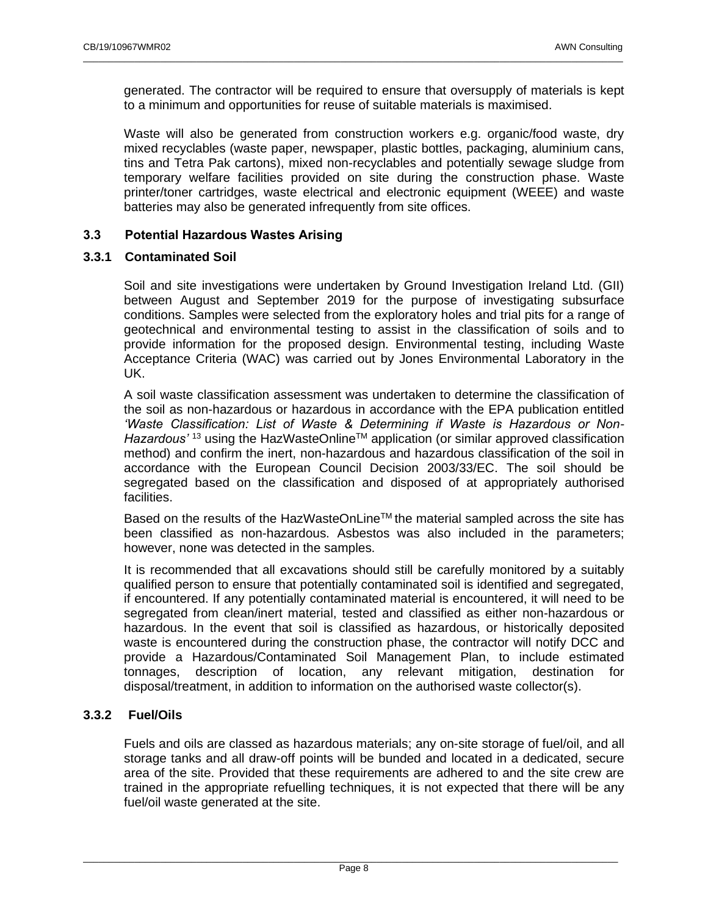generated. The contractor will be required to ensure that oversupply of materials is kept to a minimum and opportunities for reuse of suitable materials is maximised.

\_\_\_\_\_\_\_\_\_\_\_\_\_\_\_\_\_\_\_\_\_\_\_\_\_\_\_\_\_\_\_\_\_\_\_\_\_\_\_\_\_\_\_\_\_\_\_\_\_\_\_\_\_\_\_\_\_\_\_\_\_\_\_\_\_\_\_\_\_\_\_\_\_\_\_\_\_\_\_\_\_\_\_\_\_\_\_\_\_\_\_\_\_\_\_\_\_\_\_\_\_\_\_\_\_

Waste will also be generated from construction workers e.g. organic/food waste, dry mixed recyclables (waste paper, newspaper, plastic bottles, packaging, aluminium cans, tins and Tetra Pak cartons), mixed non-recyclables and potentially sewage sludge from temporary welfare facilities provided on site during the construction phase. Waste printer/toner cartridges, waste electrical and electronic equipment (WEEE) and waste batteries may also be generated infrequently from site offices.

# <span id="page-8-0"></span>**3.3 Potential Hazardous Wastes Arising**

# **3.3.1 Contaminated Soil**

Soil and site investigations were undertaken by Ground Investigation Ireland Ltd. (GII) between August and September 2019 for the purpose of investigating subsurface conditions. Samples were selected from the exploratory holes and trial pits for a range of geotechnical and environmental testing to assist in the classification of soils and to provide information for the proposed design. Environmental testing, including Waste Acceptance Criteria (WAC) was carried out by Jones Environmental Laboratory in the UK.

A soil waste classification assessment was undertaken to determine the classification of the soil as non-hazardous or hazardous in accordance with the EPA publication entitled *'Waste Classification: List of Waste & Determining if Waste is Hazardous or Non-*Hazardous<sup>' 13</sup> using the HazWasteOnline™ application (or similar approved classification method) and confirm the inert, non-hazardous and hazardous classification of the soil in accordance with the European Council Decision 2003/33/EC. The soil should be segregated based on the classification and disposed of at appropriately authorised facilities.

Based on the results of the HazWasteOnLine™ the material sampled across the site has been classified as non-hazardous. Asbestos was also included in the parameters; however, none was detected in the samples.

It is recommended that all excavations should still be carefully monitored by a suitably qualified person to ensure that potentially contaminated soil is identified and segregated, if encountered. If any potentially contaminated material is encountered, it will need to be segregated from clean/inert material, tested and classified as either non-hazardous or hazardous. In the event that soil is classified as hazardous, or historically deposited waste is encountered during the construction phase, the contractor will notify DCC and provide a Hazardous/Contaminated Soil Management Plan, to include estimated tonnages, description of location, any relevant mitigation, destination for disposal/treatment, in addition to information on the authorised waste collector(s).

# **3.3.2 Fuel/Oils**

Fuels and oils are classed as hazardous materials; any on-site storage of fuel/oil, and all storage tanks and all draw-off points will be bunded and located in a dedicated, secure area of the site. Provided that these requirements are adhered to and the site crew are trained in the appropriate refuelling techniques, it is not expected that there will be any fuel/oil waste generated at the site.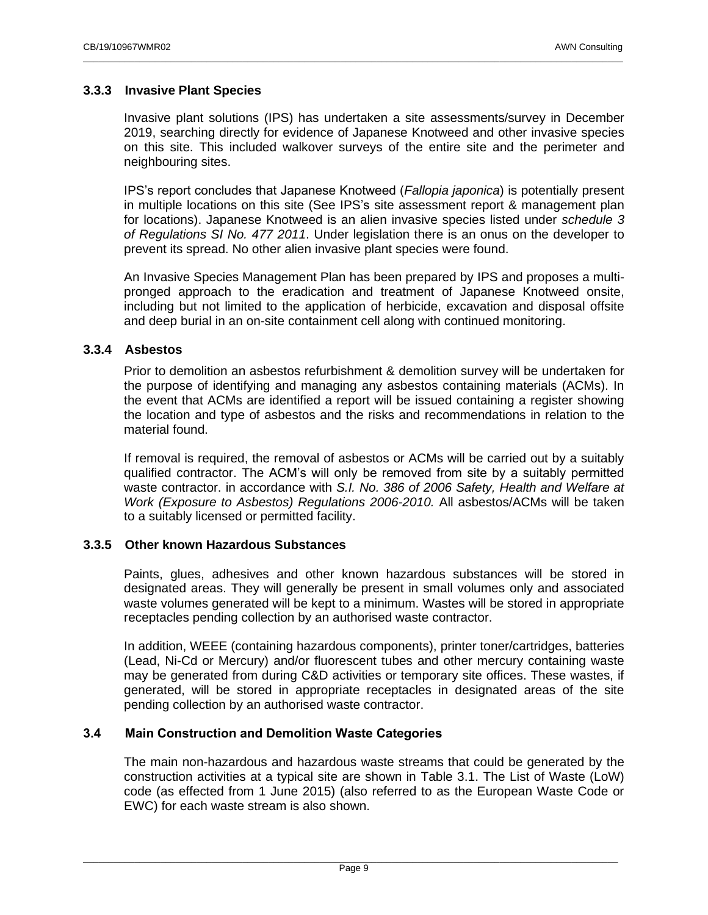# **3.3.3 Invasive Plant Species**

Invasive plant solutions (IPS) has undertaken a site assessments/survey in December 2019, searching directly for evidence of Japanese Knotweed and other invasive species on this site. This included walkover surveys of the entire site and the perimeter and neighbouring sites.

\_\_\_\_\_\_\_\_\_\_\_\_\_\_\_\_\_\_\_\_\_\_\_\_\_\_\_\_\_\_\_\_\_\_\_\_\_\_\_\_\_\_\_\_\_\_\_\_\_\_\_\_\_\_\_\_\_\_\_\_\_\_\_\_\_\_\_\_\_\_\_\_\_\_\_\_\_\_\_\_\_\_\_\_\_\_\_\_\_\_\_\_\_\_\_\_\_\_\_\_\_\_\_\_\_

IPS's report concludes that Japanese Knotweed (*Fallopia japonica*) is potentially present in multiple locations on this site (See IPS's site assessment report & management plan for locations). Japanese Knotweed is an alien invasive species listed under *schedule 3 of Regulations SI No. 477 2011*. Under legislation there is an onus on the developer to prevent its spread. No other alien invasive plant species were found.

An Invasive Species Management Plan has been prepared by IPS and proposes a multipronged approach to the eradication and treatment of Japanese Knotweed onsite, including but not limited to the application of herbicide, excavation and disposal offsite and deep burial in an on-site containment cell along with continued monitoring.

# **3.3.4 Asbestos**

Prior to demolition an asbestos refurbishment & demolition survey will be undertaken for the purpose of identifying and managing any asbestos containing materials (ACMs). In the event that ACMs are identified a report will be issued containing a register showing the location and type of asbestos and the risks and recommendations in relation to the material found.

If removal is required, the removal of asbestos or ACMs will be carried out by a suitably qualified contractor. The ACM's will only be removed from site by a suitably permitted waste contractor. in accordance with *S.I. No. 386 of 2006 Safety, Health and Welfare at Work (Exposure to Asbestos) Regulations 2006-2010.* All asbestos/ACMs will be taken to a suitably licensed or permitted facility.

## **3.3.5 Other known Hazardous Substances**

Paints, glues, adhesives and other known hazardous substances will be stored in designated areas. They will generally be present in small volumes only and associated waste volumes generated will be kept to a minimum. Wastes will be stored in appropriate receptacles pending collection by an authorised waste contractor.

In addition, WEEE (containing hazardous components), printer toner/cartridges, batteries (Lead, Ni-Cd or Mercury) and/or fluorescent tubes and other mercury containing waste may be generated from during C&D activities or temporary site offices. These wastes, if generated, will be stored in appropriate receptacles in designated areas of the site pending collection by an authorised waste contractor.

## <span id="page-9-0"></span>**3.4 Main Construction and Demolition Waste Categories**

The main non-hazardous and hazardous waste streams that could be generated by the construction activities at a typical site are shown in [Table 3.1.](#page-10-2) The List of Waste (LoW) code (as effected from 1 June 2015) (also referred to as the European Waste Code or EWC) for each waste stream is also shown.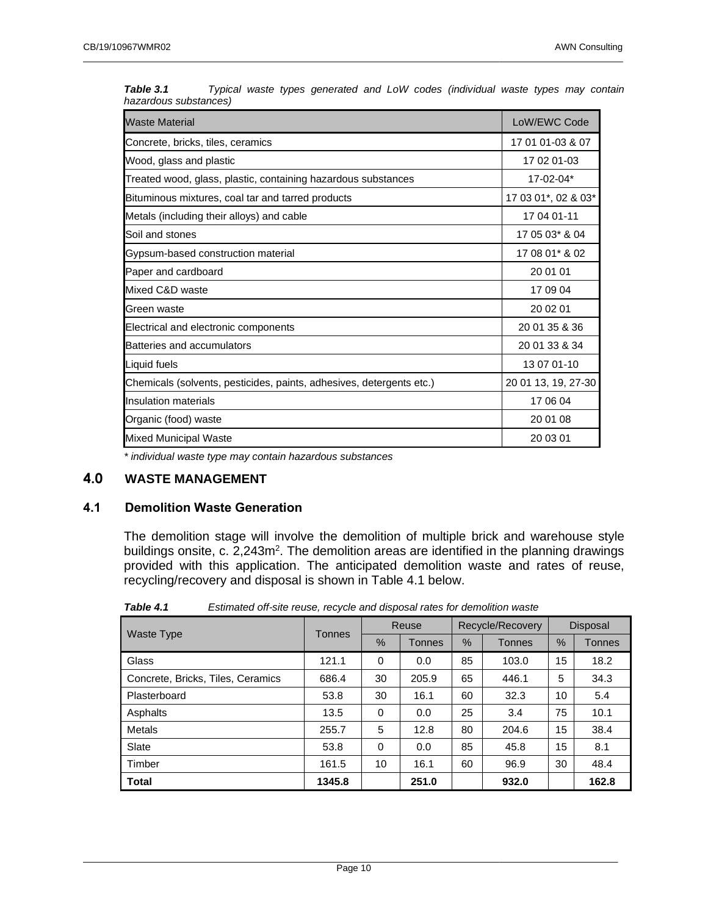| <b>Waste Material</b>                                                | LoW/EWC Code        |  |  |
|----------------------------------------------------------------------|---------------------|--|--|
| Concrete, bricks, tiles, ceramics                                    | 17 01 01-03 & 07    |  |  |
| Wood, glass and plastic                                              | 17 02 01-03         |  |  |
| Treated wood, glass, plastic, containing hazardous substances        | 17-02-04*           |  |  |
| Bituminous mixtures, coal tar and tarred products                    | 17 03 01*, 02 & 03* |  |  |
| Metals (including their alloys) and cable                            | 17 04 01-11         |  |  |
| Soil and stones                                                      | 17 05 03* & 04      |  |  |
| Gypsum-based construction material                                   | 17 08 01* & 02      |  |  |
| Paper and cardboard                                                  | 20 01 01            |  |  |
| Mixed C&D waste                                                      | 17 09 04            |  |  |
| Green waste                                                          | 20 02 01            |  |  |
| Electrical and electronic components                                 | 20 01 35 & 36       |  |  |
| Batteries and accumulators                                           | 20 01 33 & 34       |  |  |
| Liquid fuels                                                         | 13 07 01-10         |  |  |
| Chemicals (solvents, pesticides, paints, adhesives, detergents etc.) | 20 01 13, 19, 27-30 |  |  |
| Insulation materials                                                 | 17 06 04            |  |  |
| Organic (food) waste                                                 | 20 01 08            |  |  |
| <b>Mixed Municipal Waste</b>                                         | 20 03 01            |  |  |

*Table 3.1 Typical waste types generated and LoW codes (individual waste types may contain hazardous substances)*

<span id="page-10-2"></span>\_\_\_\_\_\_\_\_\_\_\_\_\_\_\_\_\_\_\_\_\_\_\_\_\_\_\_\_\_\_\_\_\_\_\_\_\_\_\_\_\_\_\_\_\_\_\_\_\_\_\_\_\_\_\_\_\_\_\_\_\_\_\_\_\_\_\_\_\_\_\_\_\_\_\_\_\_\_\_\_\_\_\_\_\_\_\_\_\_\_\_\_\_\_\_\_\_\_\_\_\_\_\_\_\_

*\* individual waste type may contain hazardous substances*

# <span id="page-10-0"></span>**4.0 WASTE MANAGEMENT**

# <span id="page-10-1"></span>**4.1 Demolition Waste Generation**

The demolition stage will involve the demolition of multiple brick and warehouse style buildings onsite, c. 2,243m<sup>2</sup>. The demolition areas are identified in the planning drawings provided with this application. The anticipated demolition waste and rates of reuse, recycling/recovery and disposal is shown in [Table 4.1](#page-10-3) below.

<span id="page-10-3"></span>

|                                   | Tonnes | Reuse |               | Recycle/Recovery |               | <b>Disposal</b> |               |
|-----------------------------------|--------|-------|---------------|------------------|---------------|-----------------|---------------|
| <b>Waste Type</b>                 |        | %     | <b>Tonnes</b> | $\frac{9}{6}$    | <b>Tonnes</b> | $\%$            | <b>Tonnes</b> |
| Glass                             | 121.1  | 0     | 0.0           | 85               | 103.0         | 15              | 18.2          |
| Concrete, Bricks, Tiles, Ceramics | 686.4  | 30    | 205.9         | 65               | 446.1         | 5               | 34.3          |
| Plasterboard                      | 53.8   | 30    | 16.1          | 60               | 32.3          | 10              | 5.4           |
| Asphalts                          | 13.5   | 0     | 0.0           | 25               | 3.4           | 75              | 10.1          |
| <b>Metals</b>                     | 255.7  | 5     | 12.8          | 80               | 204.6         | 15              | 38.4          |
| Slate                             | 53.8   | 0     | 0.0           | 85               | 45.8          | 15              | 8.1           |
| Timber                            | 161.5  | 10    | 16.1          | 60               | 96.9          | 30              | 48.4          |
| <b>Total</b>                      | 1345.8 |       | 251.0         |                  | 932.0         |                 | 162.8         |

*Table 4.1 Estimated off-site reuse, recycle and disposal rates for demolition waste*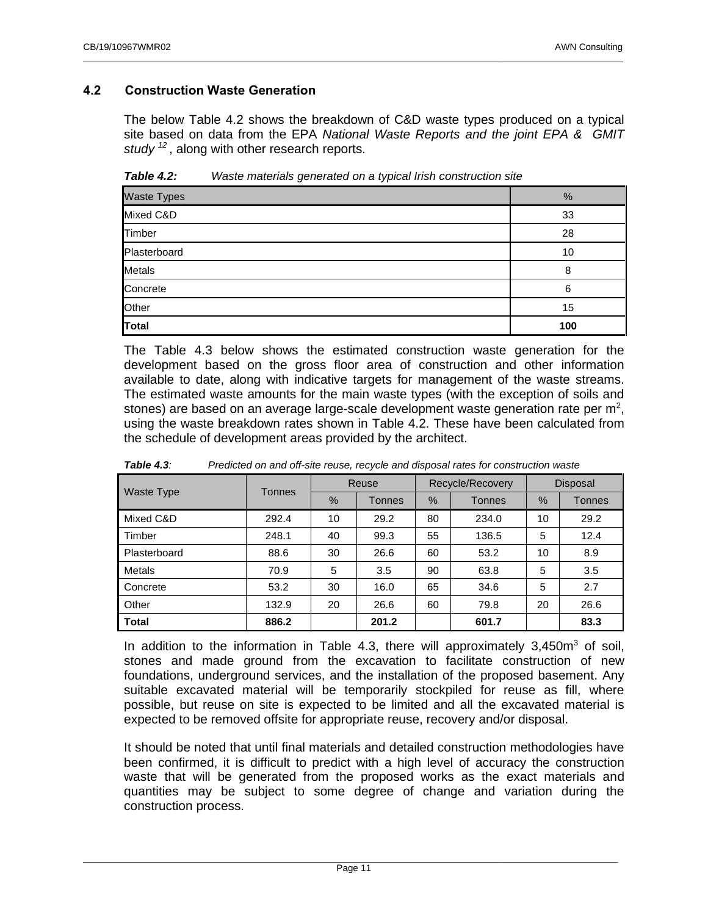# <span id="page-11-0"></span>**4.2 Construction Waste Generation**

The below [Table 4.2](#page-11-1) shows the breakdown of C&D waste types produced on a typical site based on data from the EPA *National Waste Reports and the joint EPA & GMIT study <sup>12</sup>* , along with other research reports.

\_\_\_\_\_\_\_\_\_\_\_\_\_\_\_\_\_\_\_\_\_\_\_\_\_\_\_\_\_\_\_\_\_\_\_\_\_\_\_\_\_\_\_\_\_\_\_\_\_\_\_\_\_\_\_\_\_\_\_\_\_\_\_\_\_\_\_\_\_\_\_\_\_\_\_\_\_\_\_\_\_\_\_\_\_\_\_\_\_\_\_\_\_\_\_\_\_\_\_\_\_\_\_\_\_

| <b>Table 4.2:</b> | Waste materials generated on a typical Irish construction site |
|-------------------|----------------------------------------------------------------|
|-------------------|----------------------------------------------------------------|

<span id="page-11-1"></span>

| <b>Waste Types</b> | %   |  |  |
|--------------------|-----|--|--|
| Mixed C&D          | 33  |  |  |
| Timber             | 28  |  |  |
| Plasterboard       | 10  |  |  |
| <b>Metals</b>      | 8   |  |  |
| Concrete           | 6   |  |  |
| Other              | 15  |  |  |
| Total              | 100 |  |  |

The [Table 4.3](#page-11-2) below shows the estimated construction waste generation for the development based on the gross floor area of construction and other information available to date, along with indicative targets for management of the waste streams. The estimated waste amounts for the main waste types (with the exception of soils and stones) are based on an average large-scale development waste generation rate per  $m^2$ , using the waste breakdown rates shown in [Table 4.2.](#page-11-1) These have been calculated from the schedule of development areas provided by the architect.

<span id="page-11-2"></span>

|               | <b>Tonnes</b> | Reuse |               |               | Recycle/Recovery | <b>Disposal</b> |        |
|---------------|---------------|-------|---------------|---------------|------------------|-----------------|--------|
| Waste Type    |               | %     | <b>Tonnes</b> | $\frac{9}{6}$ | Tonnes           | $\frac{9}{6}$   | Tonnes |
| Mixed C&D     | 292.4         | 10    | 29.2          | 80            | 234.0            | 10              | 29.2   |
| Timber        | 248.1         | 40    | 99.3          | 55            | 136.5            | 5               | 12.4   |
| Plasterboard  | 88.6          | 30    | 26.6          | 60            | 53.2             | 10              | 8.9    |
| <b>Metals</b> | 70.9          | 5     | 3.5           | 90            | 63.8             | 5               | 3.5    |
| Concrete      | 53.2          | 30    | 16.0          | 65            | 34.6             | 5               | 2.7    |
| Other         | 132.9         | 20    | 26.6          | 60            | 79.8             | 20              | 26.6   |
| <b>Total</b>  | 886.2         |       | 201.2         |               | 601.7            |                 | 83.3   |

*Table 4.3: Predicted on and off-site reuse, recycle and disposal rates for construction waste*

In addition to the information in Table 4.3, there will approximately 3,450 $m<sup>3</sup>$  of soil, stones and made ground from the excavation to facilitate construction of new foundations, underground services, and the installation of the proposed basement. Any suitable excavated material will be temporarily stockpiled for reuse as fill, where possible, but reuse on site is expected to be limited and all the excavated material is expected to be removed offsite for appropriate reuse, recovery and/or disposal.

It should be noted that until final materials and detailed construction methodologies have been confirmed, it is difficult to predict with a high level of accuracy the construction waste that will be generated from the proposed works as the exact materials and quantities may be subject to some degree of change and variation during the construction process.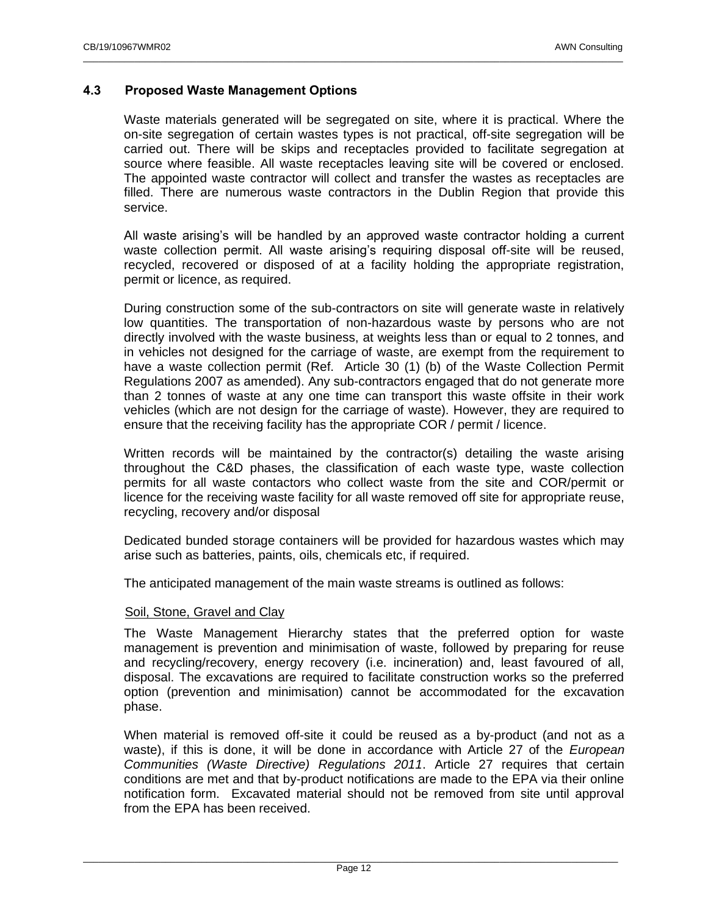# <span id="page-12-0"></span>**4.3 Proposed Waste Management Options**

Waste materials generated will be segregated on site, where it is practical. Where the on-site segregation of certain wastes types is not practical, off-site segregation will be carried out. There will be skips and receptacles provided to facilitate segregation at source where feasible. All waste receptacles leaving site will be covered or enclosed. The appointed waste contractor will collect and transfer the wastes as receptacles are filled. There are numerous waste contractors in the Dublin Region that provide this service.

\_\_\_\_\_\_\_\_\_\_\_\_\_\_\_\_\_\_\_\_\_\_\_\_\_\_\_\_\_\_\_\_\_\_\_\_\_\_\_\_\_\_\_\_\_\_\_\_\_\_\_\_\_\_\_\_\_\_\_\_\_\_\_\_\_\_\_\_\_\_\_\_\_\_\_\_\_\_\_\_\_\_\_\_\_\_\_\_\_\_\_\_\_\_\_\_\_\_\_\_\_\_\_\_\_

All waste arising's will be handled by an approved waste contractor holding a current waste collection permit. All waste arising's requiring disposal off-site will be reused, recycled, recovered or disposed of at a facility holding the appropriate registration, permit or licence, as required.

During construction some of the sub-contractors on site will generate waste in relatively low quantities. The transportation of non-hazardous waste by persons who are not directly involved with the waste business, at weights less than or equal to 2 tonnes, and in vehicles not designed for the carriage of waste, are exempt from the requirement to have a waste collection permit (Ref. Article 30 (1) (b) of the Waste Collection Permit Regulations 2007 as amended). Any sub-contractors engaged that do not generate more than 2 tonnes of waste at any one time can transport this waste offsite in their work vehicles (which are not design for the carriage of waste). However, they are required to ensure that the receiving facility has the appropriate COR / permit / licence.

Written records will be maintained by the contractor(s) detailing the waste arising throughout the C&D phases, the classification of each waste type, waste collection permits for all waste contactors who collect waste from the site and COR/permit or licence for the receiving waste facility for all waste removed off site for appropriate reuse, recycling, recovery and/or disposal

Dedicated bunded storage containers will be provided for hazardous wastes which may arise such as batteries, paints, oils, chemicals etc, if required.

The anticipated management of the main waste streams is outlined as follows:

#### Soil, Stone, Gravel and Clay

The Waste Management Hierarchy states that the preferred option for waste management is prevention and minimisation of waste, followed by preparing for reuse and recycling/recovery, energy recovery (i.e. incineration) and, least favoured of all, disposal. The excavations are required to facilitate construction works so the preferred option (prevention and minimisation) cannot be accommodated for the excavation phase.

When material is removed off-site it could be reused as a by-product (and not as a waste), if this is done, it will be done in accordance with Article 27 of the *European Communities (Waste Directive) Regulations 2011*. Article 27 requires that certain conditions are met and that by-product notifications are made to the EPA via their online notification form. Excavated material should not be removed from site until approval from the EPA has been received.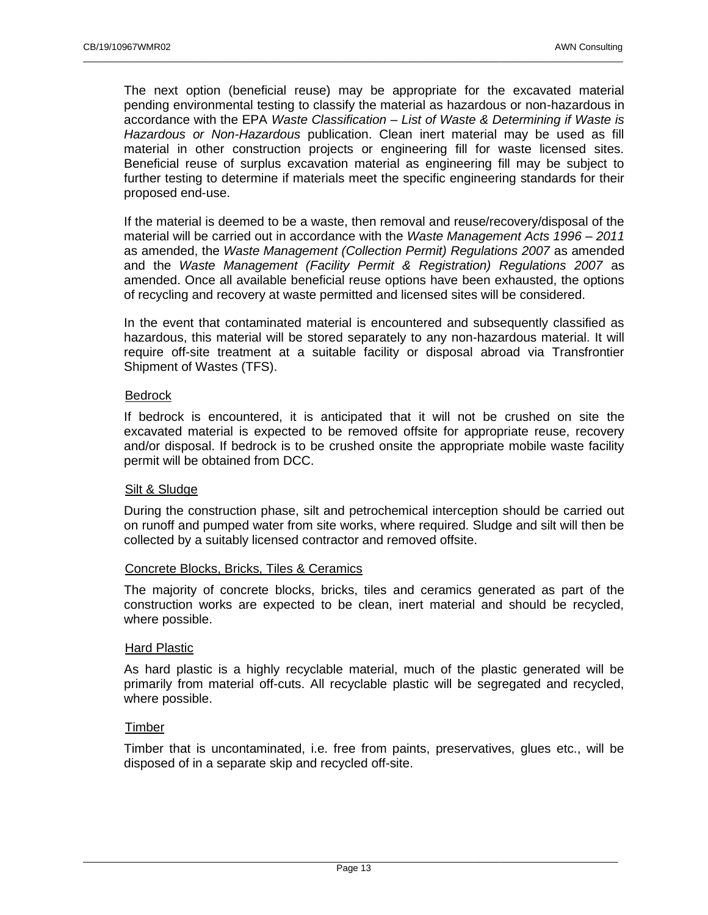The next option (beneficial reuse) may be appropriate for the excavated material pending environmental testing to classify the material as hazardous or non-hazardous in accordance with the EPA *Waste Classification – List of Waste & Determining if Waste is Hazardous or Non-Hazardous* publication. Clean inert material may be used as fill material in other construction projects or engineering fill for waste licensed sites. Beneficial reuse of surplus excavation material as engineering fill may be subject to further testing to determine if materials meet the specific engineering standards for their proposed end-use.

\_\_\_\_\_\_\_\_\_\_\_\_\_\_\_\_\_\_\_\_\_\_\_\_\_\_\_\_\_\_\_\_\_\_\_\_\_\_\_\_\_\_\_\_\_\_\_\_\_\_\_\_\_\_\_\_\_\_\_\_\_\_\_\_\_\_\_\_\_\_\_\_\_\_\_\_\_\_\_\_\_\_\_\_\_\_\_\_\_\_\_\_\_\_\_\_\_\_\_\_\_\_\_\_\_

If the material is deemed to be a waste, then removal and reuse/recovery/disposal of the material will be carried out in accordance with the *Waste Management Acts 1996 – 2011*  as amended, the *Waste Management (Collection Permit) Regulations 2007* as amended and the *Waste Management (Facility Permit & Registration) Regulations 2007* as amended. Once all available beneficial reuse options have been exhausted, the options of recycling and recovery at waste permitted and licensed sites will be considered.

In the event that contaminated material is encountered and subsequently classified as hazardous, this material will be stored separately to any non-hazardous material. It will require off-site treatment at a suitable facility or disposal abroad via Transfrontier Shipment of Wastes (TFS).

## **Bedrock**

If bedrock is encountered, it is anticipated that it will not be crushed on site the excavated material is expected to be removed offsite for appropriate reuse, recovery and/or disposal. If bedrock is to be crushed onsite the appropriate mobile waste facility permit will be obtained from DCC.

## Silt & Sludge

During the construction phase, silt and petrochemical interception should be carried out on runoff and pumped water from site works, where required. Sludge and silt will then be collected by a suitably licensed contractor and removed offsite.

## Concrete Blocks, Bricks, Tiles & Ceramics

The majority of concrete blocks, bricks, tiles and ceramics generated as part of the construction works are expected to be clean, inert material and should be recycled, where possible.

#### Hard Plastic

As hard plastic is a highly recyclable material, much of the plastic generated will be primarily from material off-cuts. All recyclable plastic will be segregated and recycled, where possible.

#### Timber

Timber that is uncontaminated, i.e. free from paints, preservatives, glues etc., will be disposed of in a separate skip and recycled off-site.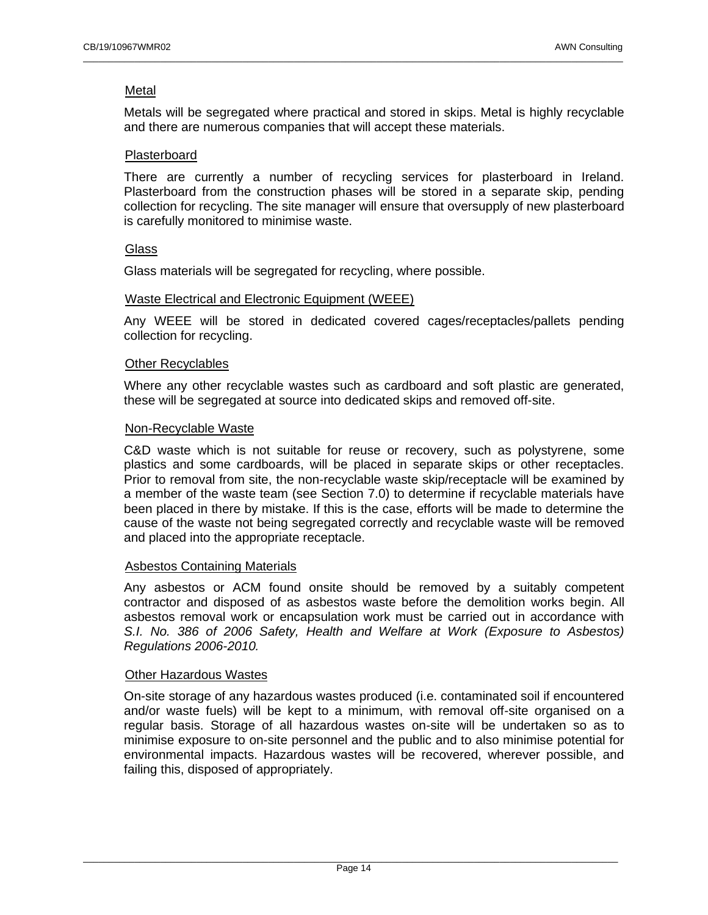# **Metal**

Metals will be segregated where practical and stored in skips. Metal is highly recyclable and there are numerous companies that will accept these materials.

\_\_\_\_\_\_\_\_\_\_\_\_\_\_\_\_\_\_\_\_\_\_\_\_\_\_\_\_\_\_\_\_\_\_\_\_\_\_\_\_\_\_\_\_\_\_\_\_\_\_\_\_\_\_\_\_\_\_\_\_\_\_\_\_\_\_\_\_\_\_\_\_\_\_\_\_\_\_\_\_\_\_\_\_\_\_\_\_\_\_\_\_\_\_\_\_\_\_\_\_\_\_\_\_\_

#### Plasterboard

There are currently a number of recycling services for plasterboard in Ireland. Plasterboard from the construction phases will be stored in a separate skip, pending collection for recycling. The site manager will ensure that oversupply of new plasterboard is carefully monitored to minimise waste.

#### **Glass**

Glass materials will be segregated for recycling, where possible.

#### Waste Electrical and Electronic Equipment (WEEE)

Any WEEE will be stored in dedicated covered cages/receptacles/pallets pending collection for recycling.

#### Other Recyclables

Where any other recyclable wastes such as cardboard and soft plastic are generated, these will be segregated at source into dedicated skips and removed off-site.

#### Non-Recyclable Waste

C&D waste which is not suitable for reuse or recovery, such as polystyrene, some plastics and some cardboards, will be placed in separate skips or other receptacles. Prior to removal from site, the non-recyclable waste skip/receptacle will be examined by a member of the waste team (see Section [7.0\)](#page-17-0) to determine if recyclable materials have been placed in there by mistake. If this is the case, efforts will be made to determine the cause of the waste not being segregated correctly and recyclable waste will be removed and placed into the appropriate receptacle.

#### Asbestos Containing Materials

Any asbestos or ACM found onsite should be removed by a suitably competent contractor and disposed of as asbestos waste before the demolition works begin. All asbestos removal work or encapsulation work must be carried out in accordance with S.I. No. 386 of 2006 Safety, Health and Welfare at Work (Exposure to Asbestos) *Regulations 2006-2010.*

#### Other Hazardous Wastes

On-site storage of any hazardous wastes produced (i.e. contaminated soil if encountered and/or waste fuels) will be kept to a minimum, with removal off-site organised on a regular basis. Storage of all hazardous wastes on-site will be undertaken so as to minimise exposure to on-site personnel and the public and to also minimise potential for environmental impacts. Hazardous wastes will be recovered, wherever possible, and failing this, disposed of appropriately.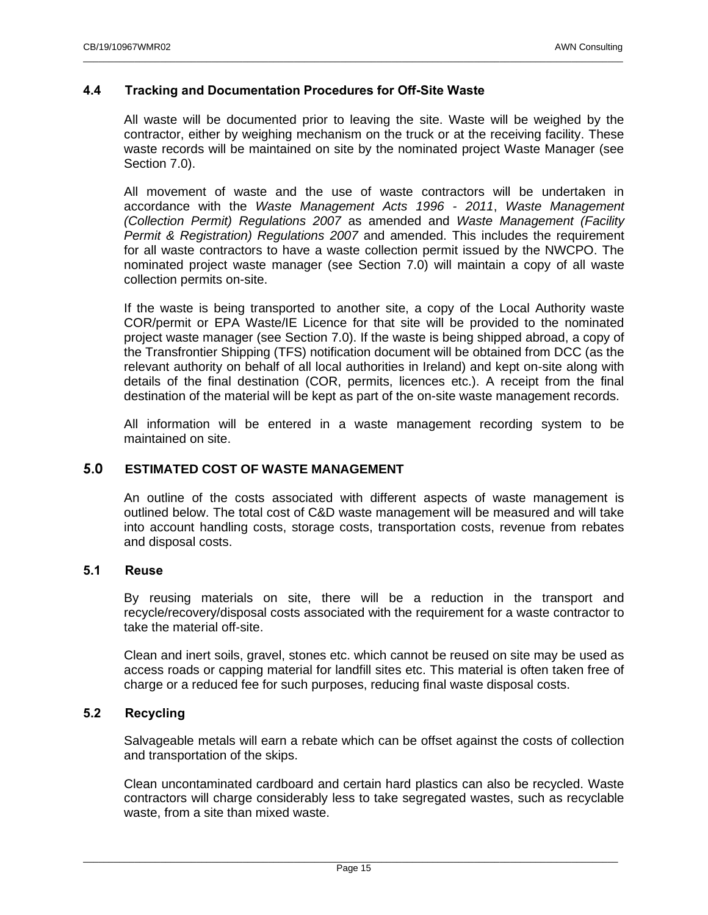# <span id="page-15-0"></span>**4.4 Tracking and Documentation Procedures for Off-Site Waste**

All waste will be documented prior to leaving the site. Waste will be weighed by the contractor, either by weighing mechanism on the truck or at the receiving facility. These waste records will be maintained on site by the nominated project Waste Manager (see Section [7.0\)](#page-17-0).

\_\_\_\_\_\_\_\_\_\_\_\_\_\_\_\_\_\_\_\_\_\_\_\_\_\_\_\_\_\_\_\_\_\_\_\_\_\_\_\_\_\_\_\_\_\_\_\_\_\_\_\_\_\_\_\_\_\_\_\_\_\_\_\_\_\_\_\_\_\_\_\_\_\_\_\_\_\_\_\_\_\_\_\_\_\_\_\_\_\_\_\_\_\_\_\_\_\_\_\_\_\_\_\_\_

All movement of waste and the use of waste contractors will be undertaken in accordance with the *Waste Management Acts 1996 - 2011*, *Waste Management (Collection Permit) Regulations 2007* as amended and *Waste Management (Facility Permit & Registration) Regulations 2007* and amended. This includes the requirement for all waste contractors to have a waste collection permit issued by the NWCPO. The nominated project waste manager (see Section [7.0\)](#page-17-0) will maintain a copy of all waste collection permits on-site.

If the waste is being transported to another site, a copy of the Local Authority waste COR/permit or EPA Waste/IE Licence for that site will be provided to the nominated project waste manager (see Section [7.0\)](#page-17-0). If the waste is being shipped abroad, a copy of the Transfrontier Shipping (TFS) notification document will be obtained from DCC (as the relevant authority on behalf of all local authorities in Ireland) and kept on-site along with details of the final destination (COR, permits, licences etc.). A receipt from the final destination of the material will be kept as part of the on-site waste management records.

All information will be entered in a waste management recording system to be maintained on site.

# <span id="page-15-1"></span>**5.0 ESTIMATED COST OF WASTE MANAGEMENT**

An outline of the costs associated with different aspects of waste management is outlined below. The total cost of C&D waste management will be measured and will take into account handling costs, storage costs, transportation costs, revenue from rebates and disposal costs.

# <span id="page-15-2"></span>**5.1 Reuse**

By reusing materials on site, there will be a reduction in the transport and recycle/recovery/disposal costs associated with the requirement for a waste contractor to take the material off-site.

Clean and inert soils, gravel, stones etc. which cannot be reused on site may be used as access roads or capping material for landfill sites etc. This material is often taken free of charge or a reduced fee for such purposes, reducing final waste disposal costs.

# <span id="page-15-3"></span>**5.2 Recycling**

Salvageable metals will earn a rebate which can be offset against the costs of collection and transportation of the skips.

Clean uncontaminated cardboard and certain hard plastics can also be recycled. Waste contractors will charge considerably less to take segregated wastes, such as recyclable waste, from a site than mixed waste.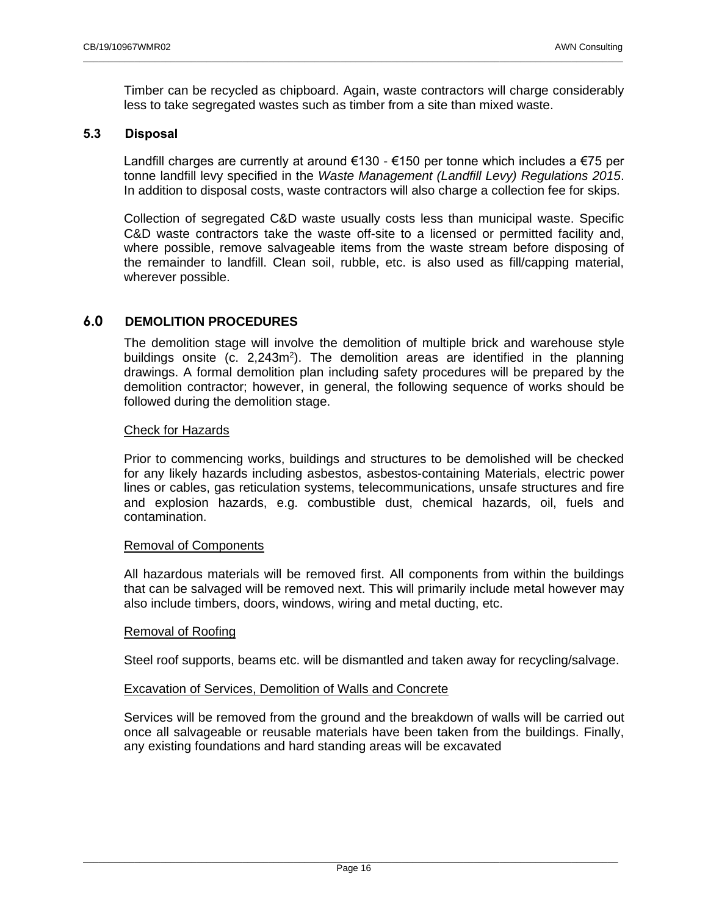Timber can be recycled as chipboard. Again, waste contractors will charge considerably less to take segregated wastes such as timber from a site than mixed waste.

\_\_\_\_\_\_\_\_\_\_\_\_\_\_\_\_\_\_\_\_\_\_\_\_\_\_\_\_\_\_\_\_\_\_\_\_\_\_\_\_\_\_\_\_\_\_\_\_\_\_\_\_\_\_\_\_\_\_\_\_\_\_\_\_\_\_\_\_\_\_\_\_\_\_\_\_\_\_\_\_\_\_\_\_\_\_\_\_\_\_\_\_\_\_\_\_\_\_\_\_\_\_\_\_\_

# <span id="page-16-0"></span>**5.3 Disposal**

Landfill charges are currently at around €130 - €150 per tonne which includes a €75 per tonne landfill levy specified in the *Waste Management (Landfill Levy) Regulations 2015*. In addition to disposal costs, waste contractors will also charge a collection fee for skips.

Collection of segregated C&D waste usually costs less than municipal waste. Specific C&D waste contractors take the waste off-site to a licensed or permitted facility and, where possible, remove salvageable items from the waste stream before disposing of the remainder to landfill. Clean soil, rubble, etc. is also used as fill/capping material, wherever possible.

# <span id="page-16-1"></span>**6.0 DEMOLITION PROCEDURES**

The demolition stage will involve the demolition of multiple brick and warehouse style buildings onsite (c. 2,243m<sup>2</sup>). The demolition areas are identified in the planning drawings. A formal demolition plan including safety procedures will be prepared by the demolition contractor; however, in general, the following sequence of works should be followed during the demolition stage.

## Check for Hazards

Prior to commencing works, buildings and structures to be demolished will be checked for any likely hazards including asbestos, asbestos-containing Materials, electric power lines or cables, gas reticulation systems, telecommunications, unsafe structures and fire and explosion hazards, e.g. combustible dust, chemical hazards, oil, fuels and contamination.

## Removal of Components

All hazardous materials will be removed first. All components from within the buildings that can be salvaged will be removed next. This will primarily include metal however may also include timbers, doors, windows, wiring and metal ducting, etc.

## Removal of Roofing

Steel roof supports, beams etc. will be dismantled and taken away for recycling/salvage.

## Excavation of Services, Demolition of Walls and Concrete

Services will be removed from the ground and the breakdown of walls will be carried out once all salvageable or reusable materials have been taken from the buildings. Finally, any existing foundations and hard standing areas will be excavated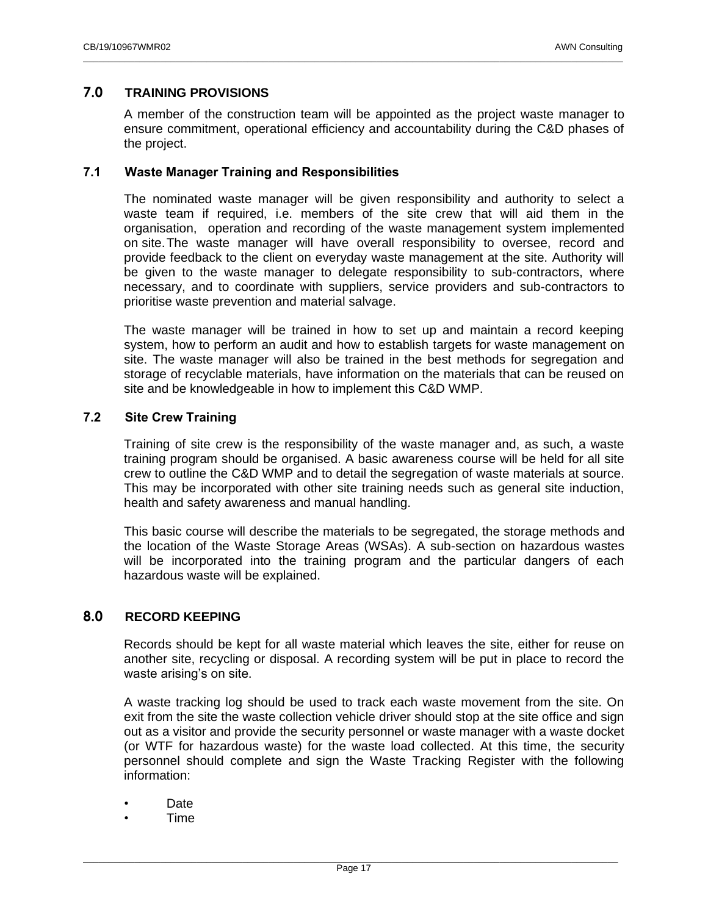# <span id="page-17-0"></span>**7.0 TRAINING PROVISIONS**

A member of the construction team will be appointed as the project waste manager to ensure commitment, operational efficiency and accountability during the C&D phases of the project.

\_\_\_\_\_\_\_\_\_\_\_\_\_\_\_\_\_\_\_\_\_\_\_\_\_\_\_\_\_\_\_\_\_\_\_\_\_\_\_\_\_\_\_\_\_\_\_\_\_\_\_\_\_\_\_\_\_\_\_\_\_\_\_\_\_\_\_\_\_\_\_\_\_\_\_\_\_\_\_\_\_\_\_\_\_\_\_\_\_\_\_\_\_\_\_\_\_\_\_\_\_\_\_\_\_

# <span id="page-17-1"></span>**7.1 Waste Manager Training and Responsibilities**

The nominated waste manager will be given responsibility and authority to select a waste team if required, i.e. members of the site crew that will aid them in the organisation, operation and recording of the waste management system implemented on site.The waste manager will have overall responsibility to oversee, record and provide feedback to the client on everyday waste management at the site. Authority will be given to the waste manager to delegate responsibility to sub-contractors, where necessary, and to coordinate with suppliers, service providers and sub-contractors to prioritise waste prevention and material salvage.

The waste manager will be trained in how to set up and maintain a record keeping system, how to perform an audit and how to establish targets for waste management on site. The waste manager will also be trained in the best methods for segregation and storage of recyclable materials, have information on the materials that can be reused on site and be knowledgeable in how to implement this C&D WMP.

#### <span id="page-17-2"></span>**7.2 Site Crew Training**

Training of site crew is the responsibility of the waste manager and, as such, a waste training program should be organised. A basic awareness course will be held for all site crew to outline the C&D WMP and to detail the segregation of waste materials at source. This may be incorporated with other site training needs such as general site induction, health and safety awareness and manual handling.

This basic course will describe the materials to be segregated, the storage methods and the location of the Waste Storage Areas (WSAs). A sub-section on hazardous wastes will be incorporated into the training program and the particular dangers of each hazardous waste will be explained.

# <span id="page-17-3"></span>**8.0 RECORD KEEPING**

Records should be kept for all waste material which leaves the site, either for reuse on another site, recycling or disposal. A recording system will be put in place to record the waste arising's on site.

A waste tracking log should be used to track each waste movement from the site. On exit from the site the waste collection vehicle driver should stop at the site office and sign out as a visitor and provide the security personnel or waste manager with a waste docket (or WTF for hazardous waste) for the waste load collected. At this time, the security personnel should complete and sign the Waste Tracking Register with the following information:

- Date
- Time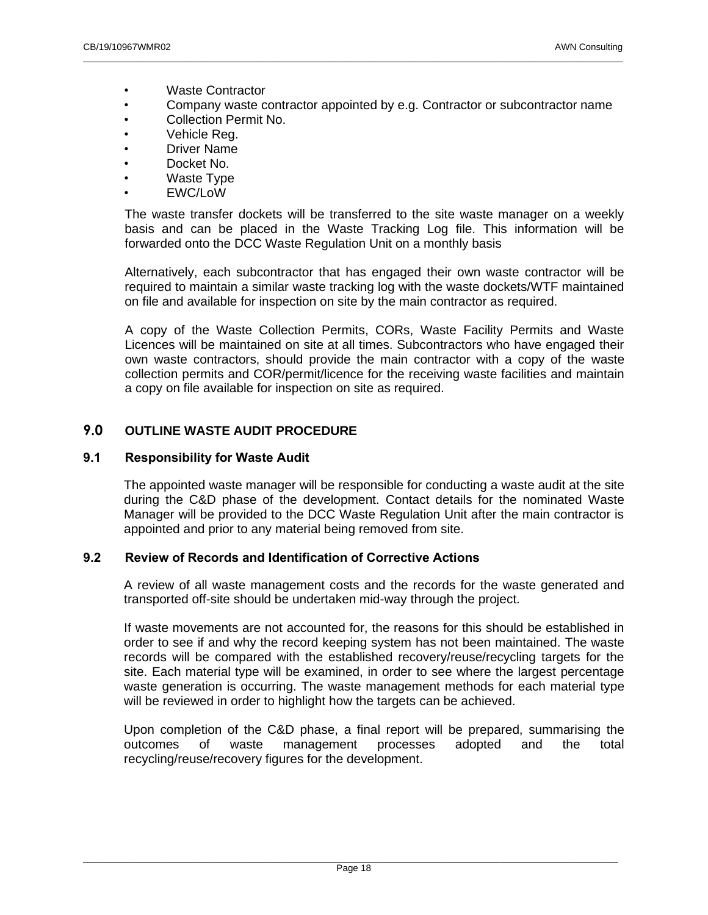- Waste Contractor
- Company waste contractor appointed by e.g. Contractor or subcontractor name

\_\_\_\_\_\_\_\_\_\_\_\_\_\_\_\_\_\_\_\_\_\_\_\_\_\_\_\_\_\_\_\_\_\_\_\_\_\_\_\_\_\_\_\_\_\_\_\_\_\_\_\_\_\_\_\_\_\_\_\_\_\_\_\_\_\_\_\_\_\_\_\_\_\_\_\_\_\_\_\_\_\_\_\_\_\_\_\_\_\_\_\_\_\_\_\_\_\_\_\_\_\_\_\_\_

- Collection Permit No.
- Vehicle Reg.
- Driver Name
- Docket No.
- Waste Type
- EWC/LoW

The waste transfer dockets will be transferred to the site waste manager on a weekly basis and can be placed in the Waste Tracking Log file. This information will be forwarded onto the DCC Waste Regulation Unit on a monthly basis

Alternatively, each subcontractor that has engaged their own waste contractor will be required to maintain a similar waste tracking log with the waste dockets/WTF maintained on file and available for inspection on site by the main contractor as required.

A copy of the Waste Collection Permits, CORs, Waste Facility Permits and Waste Licences will be maintained on site at all times. Subcontractors who have engaged their own waste contractors, should provide the main contractor with a copy of the waste collection permits and COR/permit/licence for the receiving waste facilities and maintain a copy on file available for inspection on site as required.

# <span id="page-18-0"></span>**9.0 OUTLINE WASTE AUDIT PROCEDURE**

# <span id="page-18-1"></span>**9.1 Responsibility for Waste Audit**

The appointed waste manager will be responsible for conducting a waste audit at the site during the C&D phase of the development. Contact details for the nominated Waste Manager will be provided to the DCC Waste Regulation Unit after the main contractor is appointed and prior to any material being removed from site.

## <span id="page-18-2"></span>**9.2 Review of Records and Identification of Corrective Actions**

A review of all waste management costs and the records for the waste generated and transported off-site should be undertaken mid-way through the project.

If waste movements are not accounted for, the reasons for this should be established in order to see if and why the record keeping system has not been maintained. The waste records will be compared with the established recovery/reuse/recycling targets for the site. Each material type will be examined, in order to see where the largest percentage waste generation is occurring. The waste management methods for each material type will be reviewed in order to highlight how the targets can be achieved.

Upon completion of the C&D phase, a final report will be prepared, summarising the outcomes of waste management processes adopted and the total recycling/reuse/recovery figures for the development.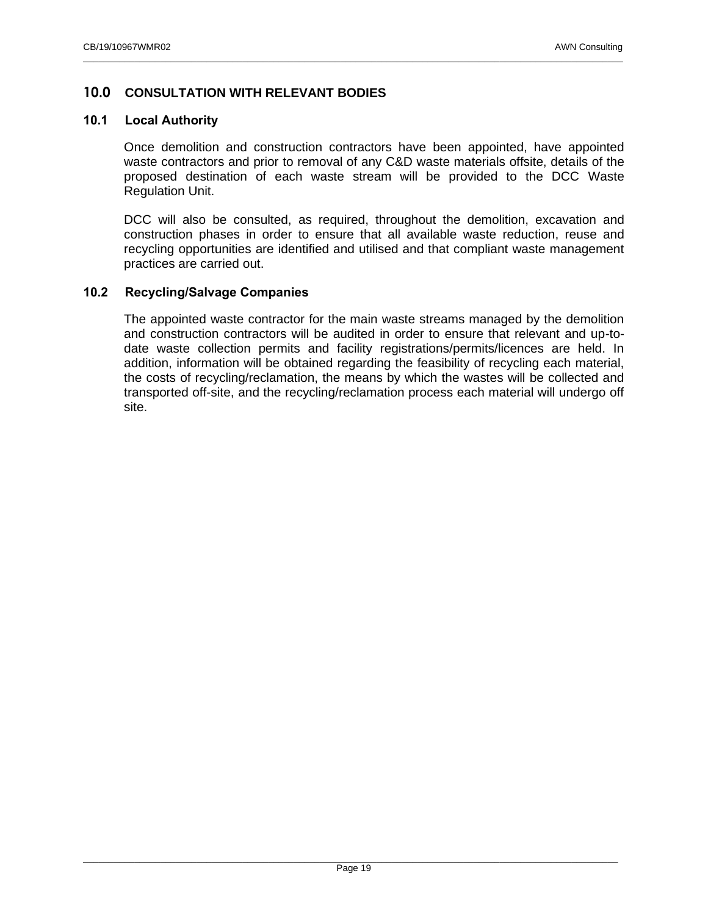# <span id="page-19-0"></span>**10.0 CONSULTATION WITH RELEVANT BODIES**

## <span id="page-19-1"></span>**10.1 Local Authority**

Once demolition and construction contractors have been appointed, have appointed waste contractors and prior to removal of any C&D waste materials offsite, details of the proposed destination of each waste stream will be provided to the DCC Waste Regulation Unit.

\_\_\_\_\_\_\_\_\_\_\_\_\_\_\_\_\_\_\_\_\_\_\_\_\_\_\_\_\_\_\_\_\_\_\_\_\_\_\_\_\_\_\_\_\_\_\_\_\_\_\_\_\_\_\_\_\_\_\_\_\_\_\_\_\_\_\_\_\_\_\_\_\_\_\_\_\_\_\_\_\_\_\_\_\_\_\_\_\_\_\_\_\_\_\_\_\_\_\_\_\_\_\_\_\_

DCC will also be consulted, as required, throughout the demolition, excavation and construction phases in order to ensure that all available waste reduction, reuse and recycling opportunities are identified and utilised and that compliant waste management practices are carried out.

## <span id="page-19-2"></span>**10.2 Recycling/Salvage Companies**

The appointed waste contractor for the main waste streams managed by the demolition and construction contractors will be audited in order to ensure that relevant and up-todate waste collection permits and facility registrations/permits/licences are held. In addition, information will be obtained regarding the feasibility of recycling each material, the costs of recycling/reclamation, the means by which the wastes will be collected and transported off-site, and the recycling/reclamation process each material will undergo off site.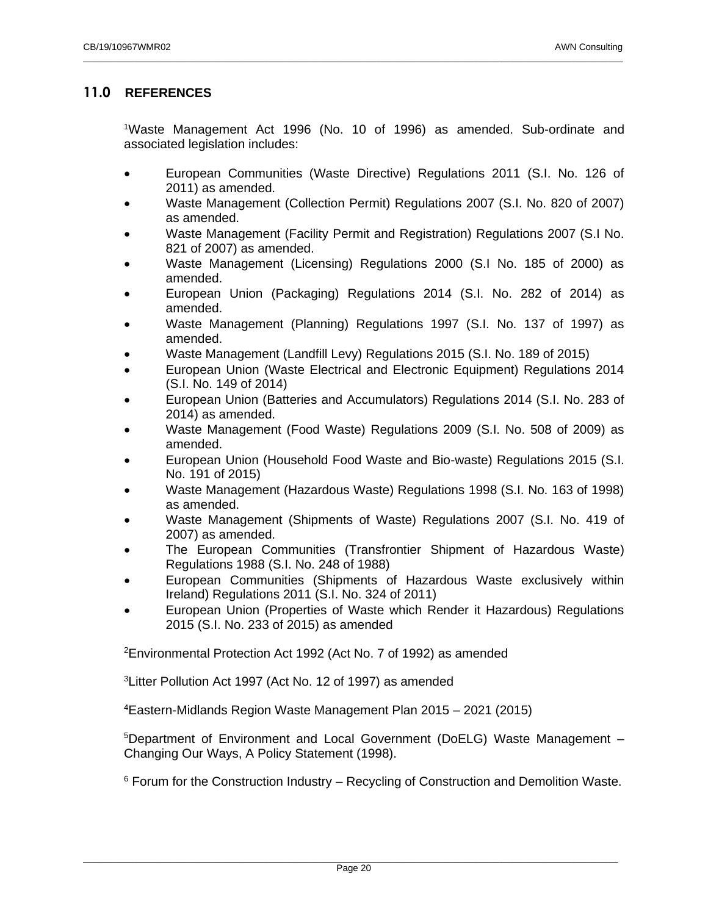# <span id="page-20-0"></span>**11.0 REFERENCES**

<sup>1</sup>Waste Management Act 1996 (No. 10 of 1996) as amended. Sub-ordinate and associated legislation includes:

\_\_\_\_\_\_\_\_\_\_\_\_\_\_\_\_\_\_\_\_\_\_\_\_\_\_\_\_\_\_\_\_\_\_\_\_\_\_\_\_\_\_\_\_\_\_\_\_\_\_\_\_\_\_\_\_\_\_\_\_\_\_\_\_\_\_\_\_\_\_\_\_\_\_\_\_\_\_\_\_\_\_\_\_\_\_\_\_\_\_\_\_\_\_\_\_\_\_\_\_\_\_\_\_\_

- European Communities (Waste Directive) Regulations 2011 (S.I. No. 126 of 2011) as amended.
- Waste Management (Collection Permit) Regulations 2007 (S.I. No. 820 of 2007) as amended.
- Waste Management (Facility Permit and Registration) Regulations 2007 (S.I No. 821 of 2007) as amended.
- Waste Management (Licensing) Regulations 2000 (S.I No. 185 of 2000) as amended.
- European Union (Packaging) Regulations 2014 (S.I. No. 282 of 2014) as amended.
- Waste Management (Planning) Regulations 1997 (S.I. No. 137 of 1997) as amended.
- Waste Management (Landfill Levy) Regulations 2015 (S.I. No. 189 of 2015)
- European Union (Waste Electrical and Electronic Equipment) Regulations 2014 (S.I. No. 149 of 2014)
- European Union (Batteries and Accumulators) Regulations 2014 (S.I. No. 283 of 2014) as amended.
- Waste Management (Food Waste) Regulations 2009 (S.I. No. 508 of 2009) as amended.
- European Union (Household Food Waste and Bio-waste) Regulations 2015 (S.I. No. 191 of 2015)
- Waste Management (Hazardous Waste) Regulations 1998 (S.I. No. 163 of 1998) as amended.
- Waste Management (Shipments of Waste) Regulations 2007 (S.I. No. 419 of 2007) as amended.
- The European Communities (Transfrontier Shipment of Hazardous Waste) Regulations 1988 (S.I. No. 248 of 1988)
- European Communities (Shipments of Hazardous Waste exclusively within Ireland) Regulations 2011 (S.I. No. 324 of 2011)
- European Union (Properties of Waste which Render it Hazardous) Regulations 2015 (S.I. No. 233 of 2015) as amended

<sup>2</sup>Environmental Protection Act 1992 (Act No. 7 of 1992) as amended

<sup>3</sup> Litter Pollution Act 1997 (Act No. 12 of 1997) as amended

<sup>4</sup>Eastern-Midlands Region Waste Management Plan 2015 – 2021 (2015)

<sup>5</sup>Department of Environment and Local Government (DoELG) Waste Management – Changing Our Ways, A Policy Statement (1998).

 $6$  Forum for the Construction Industry – Recycling of Construction and Demolition Waste.